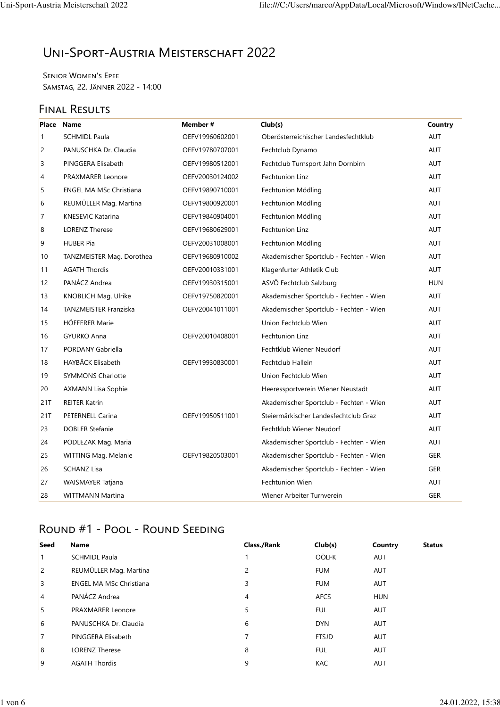# Uni-Sport-Austria Meisterschaft 2022

Senior Women's Epee Samstag, 22. Jänner 2022 - 14:00

## FINAL RESULTS

|                | Place Name                     | Member#         | Club(s)                                 | Country    |
|----------------|--------------------------------|-----------------|-----------------------------------------|------------|
| $\mathbf{1}$   | <b>SCHMIDL Paula</b>           | OEFV19960602001 | Oberösterreichischer Landesfechtklub    | AUT        |
| $\overline{2}$ | PANUSCHKA Dr. Claudia          | OEFV19780707001 | Fechtclub Dynamo                        | <b>AUT</b> |
| 3              | PINGGERA Elisabeth             | OEFV19980512001 | Fechtclub Turnsport Jahn Dornbirn       | <b>AUT</b> |
| 4              | PRAXMARER Leonore              | OEFV20030124002 | <b>Fechtunion Linz</b>                  | <b>AUT</b> |
| 5              | <b>ENGEL MA MSc Christiana</b> | OEFV19890710001 | Fechtunion Mödling                      | AUT        |
| 6              | REUMÜLLER Mag. Martina         | OEFV19800920001 | Fechtunion Mödling                      | <b>AUT</b> |
| 7              | <b>KNESEVIC Katarina</b>       | OEFV19840904001 | Fechtunion Mödling                      | <b>AUT</b> |
| 8              | <b>LORENZ Therese</b>          | OEFV19680629001 | Fechtunion Linz                         | <b>AUT</b> |
| 9              | <b>HUBER Pia</b>               | OEFV20031008001 | Fechtunion Mödling                      | AUT        |
| 10             | TANZMEISTER Mag. Dorothea      | OEFV19680910002 | Akademischer Sportclub - Fechten - Wien | <b>AUT</b> |
| 11             | <b>AGATH Thordis</b>           | OEFV20010331001 | Klagenfurter Athletik Club              | <b>AUT</b> |
| 12             | PANÁCZ Andrea                  | OEFV19930315001 | ASVÖ Fechtclub Salzburg                 | <b>HUN</b> |
| 13             | KNOBLICH Mag. Ulrike           | OEFV19750820001 | Akademischer Sportclub - Fechten - Wien | AUT        |
| 14             | <b>TANZMEISTER Franziska</b>   | OEFV20041011001 | Akademischer Sportclub - Fechten - Wien | AUT        |
| 15             | HÖFFERER Marie                 |                 | Union Fechtclub Wien                    | <b>AUT</b> |
| 16             | <b>GYURKO Anna</b>             | OEFV20010408001 | <b>Fechtunion Linz</b>                  | <b>AUT</b> |
| 17             | <b>PORDANY Gabriella</b>       |                 | Fechtklub Wiener Neudorf                | <b>AUT</b> |
| 18             | HAYBÄCK Elisabeth              | OEFV19930830001 | <b>Fechtclub Hallein</b>                | AUT        |
| 19             | <b>SYMMONS Charlotte</b>       |                 | Union Fechtclub Wien                    | <b>AUT</b> |
| 20             | <b>AXMANN Lisa Sophie</b>      |                 | Heeressportverein Wiener Neustadt       | <b>AUT</b> |
| 21T            | <b>REITER Katrin</b>           |                 | Akademischer Sportclub - Fechten - Wien | <b>AUT</b> |
| 21T            | PETERNELL Carina               | OEFV19950511001 | Steiermärkischer Landesfechtclub Graz   | AUT        |
| 23             | <b>DOBLER Stefanie</b>         |                 | Fechtklub Wiener Neudorf                | <b>AUT</b> |
| 24             | PODLEZAK Mag. Maria            |                 | Akademischer Sportclub - Fechten - Wien | <b>AUT</b> |
| 25             | WITTING Mag. Melanie           | OEFV19820503001 | Akademischer Sportclub - Fechten - Wien | <b>GER</b> |
| 26             | <b>SCHANZ Lisa</b>             |                 | Akademischer Sportclub - Fechten - Wien | GER        |
| 27             | <b>WAISMAYER Tatjana</b>       |                 | <b>Fechtunion Wien</b>                  | <b>AUT</b> |
| 28             | <b>WITTMANN Martina</b>        |                 | Wiener Arbeiter Turnverein              | <b>GER</b> |

## Round #1 - Pool - Round Seeding

| Seed           | <b>Name</b>                    | <b>Class./Rank</b> | Club(s)      | Country    | <b>Status</b> |
|----------------|--------------------------------|--------------------|--------------|------------|---------------|
|                | <b>SCHMIDL Paula</b>           |                    | OÖLFK        | AUT        |               |
| $\overline{2}$ | REUMÜLLER Mag. Martina         | 2                  | <b>FUM</b>   | <b>AUT</b> |               |
| 3              | <b>ENGEL MA MSc Christiana</b> | 3                  | <b>FUM</b>   | AUT        |               |
| 4              | PANÁCZ Andrea                  | 4                  | <b>AFCS</b>  | <b>HUN</b> |               |
| 5              | <b>PRAXMARER Leonore</b>       | 5                  | <b>FUL</b>   | AUT        |               |
| 6              | PANUSCHKA Dr. Claudia          | 6                  | <b>DYN</b>   | <b>AUT</b> |               |
| 7              | PINGGERA Elisabeth             | 7                  | <b>FTSJD</b> | <b>AUT</b> |               |
| 8              | <b>LORENZ Therese</b>          | 8                  | <b>FUL</b>   | AUT        |               |
| 9              | <b>AGATH Thordis</b>           | 9                  | <b>KAC</b>   | <b>AUT</b> |               |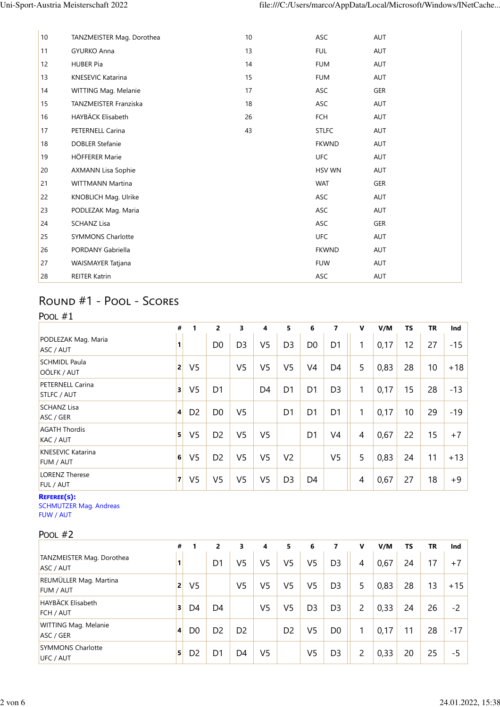| 10 | TANZMEISTER Mag. Dorothea    | 10 | ASC           | <b>AUT</b> |
|----|------------------------------|----|---------------|------------|
| 11 | <b>GYURKO Anna</b>           | 13 | <b>FUL</b>    | AUT        |
| 12 | <b>HUBER Pia</b>             | 14 | <b>FUM</b>    | <b>AUT</b> |
| 13 | KNESEVIC Katarina            | 15 | <b>FUM</b>    | <b>AUT</b> |
| 14 | WITTING Mag. Melanie         | 17 | ASC           | GER        |
| 15 | <b>TANZMEISTER Franziska</b> | 18 | ASC           | AUT        |
| 16 | HAYBÄCK Elisabeth            | 26 | <b>FCH</b>    | AUT        |
| 17 | PETERNELL Carina             | 43 | <b>STLFC</b>  | <b>AUT</b> |
| 18 | <b>DOBLER Stefanie</b>       |    | <b>FKWND</b>  | AUT        |
| 19 | HÖFFERER Marie               |    | <b>UFC</b>    | AUT        |
| 20 | <b>AXMANN Lisa Sophie</b>    |    | <b>HSV WN</b> | AUT        |
| 21 | <b>WITTMANN Martina</b>      |    | <b>WAT</b>    | <b>GER</b> |
| 22 | KNOBLICH Mag. Ulrike         |    | ASC           | <b>AUT</b> |
| 23 | PODLEZAK Mag. Maria          |    | ASC           | <b>AUT</b> |
| 24 | <b>SCHANZ Lisa</b>           |    | <b>ASC</b>    | <b>GER</b> |
| 25 | <b>SYMMONS Charlotte</b>     |    | <b>UFC</b>    | <b>AUT</b> |
| 26 | PORDANY Gabriella            |    | <b>FKWND</b>  | <b>AUT</b> |
| 27 | WAISMAYER Tatjana            |    | <b>FUW</b>    | AUT        |
| 28 | <b>REITER Katrin</b>         |    | ASC           | <b>AUT</b> |
|    |                              |    |               |            |

## Round #1 - Pool - Scores

| POOL $#1$                                                        |   |                |                |                |                |                |                |                |                |      |           |           |       |
|------------------------------------------------------------------|---|----------------|----------------|----------------|----------------|----------------|----------------|----------------|----------------|------|-----------|-----------|-------|
|                                                                  | # | 1              | $\overline{2}$ | 3              | 4              | 5              | 6              | $\overline{7}$ | $\mathbf v$    | V/M  | <b>TS</b> | <b>TR</b> | Ind   |
| PODLEZAK Mag. Maria<br>ASC / AUT                                 | 1 |                | D <sub>0</sub> | D <sub>3</sub> | V <sub>5</sub> | D <sub>3</sub> | D <sub>0</sub> | D <sub>1</sub> | 1              | 0,17 | 12        | 27        | $-15$ |
| <b>SCHMIDL Paula</b><br>OÖLFK / AUT                              | 2 | V <sub>5</sub> |                | V <sub>5</sub> | V <sub>5</sub> | V <sub>5</sub> | V <sub>4</sub> | D <sub>4</sub> | 5              | 0,83 | 28        | 10        | $+18$ |
| <b>PETERNELL Carina</b><br>STLFC / AUT                           | 3 | V <sub>5</sub> | D <sub>1</sub> |                | D <sub>4</sub> | D <sub>1</sub> | D <sub>1</sub> | D <sub>3</sub> | 1              | 0,17 | 15        | 28        | -13   |
| <b>SCHANZ Lisa</b><br>ASC / GER                                  | 4 | D <sub>2</sub> | D <sub>0</sub> | V <sub>5</sub> |                | D <sub>1</sub> | D <sub>1</sub> | D <sub>1</sub> | 1              | 0,17 | 10        | 29        | $-19$ |
| <b>AGATH Thordis</b><br>KAC / AUT                                | 5 | V <sub>5</sub> | D <sub>2</sub> | V <sub>5</sub> | V <sub>5</sub> |                | D <sub>1</sub> | V <sub>4</sub> | $\overline{4}$ | 0,67 | 22        | 15        | $+7$  |
| <b>KNESEVIC Katarina</b><br>FUM / AUT                            | 6 | V <sub>5</sub> | D <sub>2</sub> | V <sub>5</sub> | V <sub>5</sub> | V <sub>2</sub> |                | V <sub>5</sub> | 5              | 0,83 | 24        | 11        | $+13$ |
| <b>LORENZ Therese</b><br><b>FUL / AUT</b>                        | 7 | V <sub>5</sub> | V <sub>5</sub> | V <sub>5</sub> | V <sub>5</sub> | D <sub>3</sub> | D4             |                | $\overline{4}$ | 0,67 | 27        | 18        | $+9$  |
| <b>REFEREE(S):</b><br><b>SCHMUTZER Mag. Andreas</b><br>FUW / AUT |   |                |                |                |                |                |                |                |                |      |           |           |       |

Pool #2

|                                          | #            |                | $\overline{2}$ | 3              | 4              | 5.             | 6              | 7              | v | V/M  | ΤS | <b>TR</b> | Ind   |
|------------------------------------------|--------------|----------------|----------------|----------------|----------------|----------------|----------------|----------------|---|------|----|-----------|-------|
| TANZMEISTER Mag. Dorothea<br>ASC / AUT   | 1            |                | D1             | V5             | V <sub>5</sub> | V5             | V5             | D <sub>3</sub> | 4 | 0,67 | 24 | 17        | $+7$  |
| REUMÜLLER Mag. Martina<br>FUM / AUT      | $\mathbf{2}$ | V <sub>5</sub> |                | V <sub>5</sub> | V5             | V5             | V5             | D <sub>3</sub> | 5 | 0,83 | 28 | 13        | $+15$ |
| HAYBÄCK Elisabeth<br><b>FCH / AUT</b>    | 3            | D4             | D4             |                | V <sub>5</sub> | V5             | D <sub>3</sub> | D <sub>3</sub> | 2 | 0,33 | 24 | 26        | $-2$  |
| <b>WITTING Mag. Melanie</b><br>ASC / GER | 4            | D <sub>0</sub> | D <sub>2</sub> | D <sub>2</sub> |                | D <sub>2</sub> | V5             | D <sub>0</sub> | 1 | 0,17 | 11 | 28        | $-17$ |
| <b>SYMMONS Charlotte</b><br>UFC / AUT    | 5            | D <sub>2</sub> | D1             | D4             | V <sub>5</sub> |                | V5             | D <sub>3</sub> | 2 | 0,33 | 20 | 25        | $-5$  |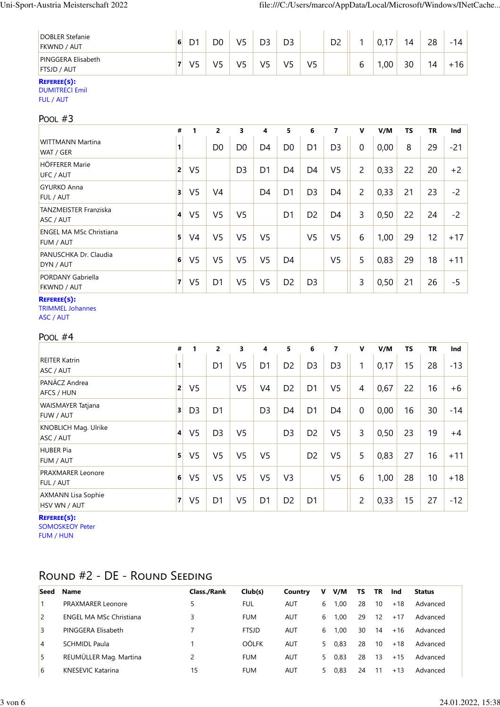| <b>DOBLER Stefanie</b><br><b>FKWND / AUT</b> | 6 |            | D0      | V5      | רח<br>◡    | D3 |                | D <sub>2</sub> |   | . –<br>∪, ı | 14 | 28 | $-14$ |
|----------------------------------------------|---|------------|---------|---------|------------|----|----------------|----------------|---|-------------|----|----|-------|
| <b>PINGGERA Elisabeth</b><br>FTSJD / AUT     |   | $\sqrt{2}$ | いに<br>ے | V٢<br>پ | $\sqrt{5}$ | V5 | V <sub>5</sub> |                | ь | ,00         | 30 | 14 | 16    |
| Decemental.                                  |   |            |         |         |            |    |                |                |   |             |    |    |       |

#### **REFEREE(S):**

DUMITRECI Emil FUL / AUT

| POOL $#3$                                          |                         |                |                |                |                |                |                |                |                |      |           |           |       |
|----------------------------------------------------|-------------------------|----------------|----------------|----------------|----------------|----------------|----------------|----------------|----------------|------|-----------|-----------|-------|
|                                                    | #                       | 1              | $\overline{2}$ | 3              | 4              | 5              | 6              | 7              | $\mathbf v$    | V/M  | <b>TS</b> | <b>TR</b> | Ind   |
| <b>WITTMANN Martina</b><br>WAT / GER               | 1                       |                | D <sub>0</sub> | D0             | D4             | D <sub>0</sub> | D1             | D <sub>3</sub> | $\mathbf 0$    | 0,00 | 8         | 29        | $-21$ |
| <b>HÖFFERER Marie</b><br>UFC / AUT                 | $\overline{2}$          | V <sub>5</sub> |                | D <sub>3</sub> | D <sub>1</sub> | D <sub>4</sub> | D <sub>4</sub> | V <sub>5</sub> | $\overline{2}$ | 0,33 | 22        | 20        | $+2$  |
| <b>GYURKO Anna</b><br><b>FUL / AUT</b>             | $\overline{\mathbf{3}}$ | V <sub>5</sub> | V4             |                | D <sub>4</sub> | D <sub>1</sub> | D <sub>3</sub> | D4             | $\overline{c}$ | 0,33 | 21        | 23        | $-2$  |
| <b>TANZMEISTER Franziska</b><br>ASC / AUT          | 4                       | V <sub>5</sub> | V <sub>5</sub> | V <sub>5</sub> |                | D <sub>1</sub> | D <sub>2</sub> | D <sub>4</sub> | 3              | 0,50 | 22        | 24        | $-2$  |
| <b>ENGEL MA MSc Christiana</b><br><b>FUM / AUT</b> | 5                       | V <sub>4</sub> | V <sub>5</sub> | V <sub>5</sub> | V <sub>5</sub> |                | V <sub>5</sub> | V <sub>5</sub> | 6              | 1,00 | 29        | 12        | $+17$ |
| PANUSCHKA Dr. Claudia<br>DYN / AUT                 | 6                       | V <sub>5</sub> | V <sub>5</sub> | V <sub>5</sub> | V <sub>5</sub> | D <sub>4</sub> |                | V <sub>5</sub> | 5              | 0,83 | 29        | 18        | $+11$ |
| <b>PORDANY Gabriella</b><br><b>FKWND / AUT</b>     | $\overline{7}$          | V <sub>5</sub> | D <sub>1</sub> | V <sub>5</sub> | V <sub>5</sub> | D <sub>2</sub> | D <sub>3</sub> |                | 3              | 0,50 | 21        | 26        | -5    |

### **REFEREE(S):**

TRIMMEL Johannes ASC / AUT

#### POOL #4

|                                              | #              | 1              | $\overline{2}$ | 3              | 4              | 5              | 6              | 7              | v           | V/M  | <b>TS</b> | <b>TR</b> | Ind   |
|----------------------------------------------|----------------|----------------|----------------|----------------|----------------|----------------|----------------|----------------|-------------|------|-----------|-----------|-------|
| <b>REITER Katrin</b><br>ASC / AUT            | 1              |                | D <sub>1</sub> | V <sub>5</sub> | D <sub>1</sub> | D <sub>2</sub> | D <sub>3</sub> | D <sub>3</sub> | 1           | 0,17 | 15        | 28        | $-13$ |
| PANÁCZ Andrea<br><b>AFCS / HUN</b>           | $\overline{2}$ | V <sub>5</sub> |                | V <sub>5</sub> | V <sub>4</sub> | D <sub>2</sub> | D <sub>1</sub> | V <sub>5</sub> | 4           | 0,67 | 22        | 16        | $+6$  |
| <b>WAISMAYER Tatjana</b><br><b>FUW / AUT</b> | 3              | D <sub>3</sub> | D <sub>1</sub> |                | D <sub>3</sub> | D <sub>4</sub> | D <sub>1</sub> | D <sub>4</sub> | $\mathbf 0$ | 0,00 | 16        | 30        | $-14$ |
| <b>KNOBLICH Mag. Ulrike</b><br>ASC / AUT     | 4              | V <sub>5</sub> | D <sub>3</sub> | V <sub>5</sub> |                | D <sub>3</sub> | D <sub>2</sub> | V <sub>5</sub> | 3           | 0,50 | 23        | 19        | $+4$  |
| <b>HUBER Pia</b><br><b>FUM / AUT</b>         | $\vert$ 5      | V <sub>5</sub> | V <sub>5</sub> | V <sub>5</sub> | V <sub>5</sub> |                | D <sub>2</sub> | V <sub>5</sub> | 5           | 0,83 | 27        | 16        | $+11$ |
| <b>PRAXMARER Leonore</b><br><b>FUL / AUT</b> | 6              | V <sub>5</sub> | V <sub>5</sub> | V <sub>5</sub> | V <sub>5</sub> | V <sub>3</sub> |                | V <sub>5</sub> | 6           | 1,00 | 28        | 10        | $+18$ |
| <b>AXMANN Lisa Sophie</b><br>HSV WN / AUT    | $\mathbf{z}$   | V <sub>5</sub> | D <sub>1</sub> | V <sub>5</sub> | D <sub>1</sub> | D <sub>2</sub> | D <sub>1</sub> |                | 2           | 0,33 | 15        | 27        | $-12$ |

**REFEREE(S):** SOMOSKEOY Peter

FUM / HUN

## Round #2 - DE - Round Seeding

| Seed | Name                           | <b>Class./Rank</b> | Club(s)      | Country    | v  | V/M  | ΤS | TR | Ind   | <b>Status</b> |
|------|--------------------------------|--------------------|--------------|------------|----|------|----|----|-------|---------------|
|      | PRAXMARER Leonore              |                    | FUL          | AUT        | 6  | 1.00 | 28 | 10 | $+18$ | Advanced      |
| 2    | <b>ENGEL MA MSc Christiana</b> | 3                  | <b>FUM</b>   | <b>AUT</b> | 6  | 1.00 | 29 | 12 | $+17$ | Advanced      |
| 3    | PINGGERA Elisabeth             |                    | <b>FTSJD</b> | AUT        | 6  | 1.00 | 30 | 14 | $+16$ | Advanced      |
| 4    | <b>SCHMIDL Paula</b>           |                    | <b>OÖLFK</b> | <b>AUT</b> | 5. | 0.83 | 28 | 10 | $+18$ | Advanced      |
| 5    | REUMÜLLER Mag. Martina         |                    | <b>FUM</b>   | <b>AUT</b> | 5. | 0.83 | 28 | 13 | $+15$ | Advanced      |
| 6    | KNESEVIC Katarina              | 15                 | <b>FUM</b>   | <b>AUT</b> | 5. | 0.83 | 24 |    | $+13$ | Advanced      |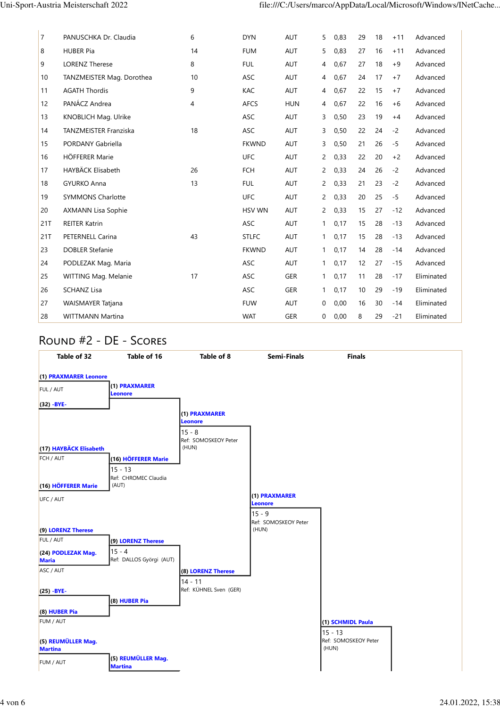| 7   | PANUSCHKA Dr. Claudia        | 6  | <b>DYN</b>    | <b>AUT</b> | 5                     | 0,83 | 29 | 18 | $+11$ | Advanced   |
|-----|------------------------------|----|---------------|------------|-----------------------|------|----|----|-------|------------|
| 8   | <b>HUBER Pia</b>             | 14 | <b>FUM</b>    | <b>AUT</b> | 5                     | 0,83 | 27 | 16 | $+11$ | Advanced   |
| 9   | <b>LORENZ Therese</b>        | 8  | <b>FUL</b>    | <b>AUT</b> | 4                     | 0,67 | 27 | 18 | $+9$  | Advanced   |
| 10  | TANZMEISTER Mag. Dorothea    | 10 | <b>ASC</b>    | <b>AUT</b> | 4                     | 0,67 | 24 | 17 | $+7$  | Advanced   |
| 11  | <b>AGATH Thordis</b>         | 9  | <b>KAC</b>    | <b>AUT</b> | 4                     | 0,67 | 22 | 15 | $+7$  | Advanced   |
| 12  | PANÁCZ Andrea                | 4  | <b>AFCS</b>   | <b>HUN</b> | 4                     | 0,67 | 22 | 16 | $+6$  | Advanced   |
| 13  | KNOBLICH Mag. Ulrike         |    | <b>ASC</b>    | <b>AUT</b> | 3                     | 0,50 | 23 | 19 | $+4$  | Advanced   |
| 14  | <b>TANZMEISTER Franziska</b> | 18 | <b>ASC</b>    | <b>AUT</b> | 3                     | 0,50 | 22 | 24 | $-2$  | Advanced   |
| 15  | <b>PORDANY Gabriella</b>     |    | <b>FKWND</b>  | <b>AUT</b> | 3                     | 0,50 | 21 | 26 | $-5$  | Advanced   |
| 16  | <b>HÖFFERER Marie</b>        |    | <b>UFC</b>    | <b>AUT</b> | $\mathbf{2}^{\prime}$ | 0,33 | 22 | 20 | $+2$  | Advanced   |
| 17  | HAYBÄCK Elisabeth            | 26 | <b>FCH</b>    | <b>AUT</b> | 2                     | 0,33 | 24 | 26 | $-2$  | Advanced   |
| 18  | <b>GYURKO Anna</b>           | 13 | <b>FUL</b>    | <b>AUT</b> | $\mathbf{2}$          | 0,33 | 21 | 23 | $-2$  | Advanced   |
| 19  | <b>SYMMONS Charlotte</b>     |    | <b>UFC</b>    | <b>AUT</b> | 2                     | 0,33 | 20 | 25 | $-5$  | Advanced   |
| 20  | <b>AXMANN Lisa Sophie</b>    |    | <b>HSV WN</b> | <b>AUT</b> | 2                     | 0,33 | 15 | 27 | $-12$ | Advanced   |
| 21T | <b>REITER Katrin</b>         |    | <b>ASC</b>    | AUT        | $\mathbf{1}$          | 0,17 | 15 | 28 | $-13$ | Advanced   |
| 21T | PETERNELL Carina             | 43 | <b>STLFC</b>  | <b>AUT</b> | $\mathbf{1}$          | 0,17 | 15 | 28 | $-13$ | Advanced   |
| 23  | <b>DOBLER Stefanie</b>       |    | <b>FKWND</b>  | <b>AUT</b> | 1                     | 0,17 | 14 | 28 | $-14$ | Advanced   |
| 24  | PODLEZAK Mag. Maria          |    | <b>ASC</b>    | <b>AUT</b> | 1                     | 0,17 | 12 | 27 | $-15$ | Advanced   |
| 25  | WITTING Mag. Melanie         | 17 | <b>ASC</b>    | <b>GER</b> | $\mathbf{1}$          | 0,17 | 11 | 28 | $-17$ | Eliminated |
| 26  | <b>SCHANZ Lisa</b>           |    | <b>ASC</b>    | <b>GER</b> | 1                     | 0,17 | 10 | 29 | $-19$ | Eliminated |
| 27  | <b>WAISMAYER Tatjana</b>     |    | <b>FUW</b>    | <b>AUT</b> | 0                     | 0,00 | 16 | 30 | $-14$ | Eliminated |
| 28  | <b>WITTMANN Martina</b>      |    | <b>WAT</b>    | <b>GER</b> | 0                     | 0,00 | 8  | 29 | $-21$ | Eliminated |

## Round #2 - DE - Scores

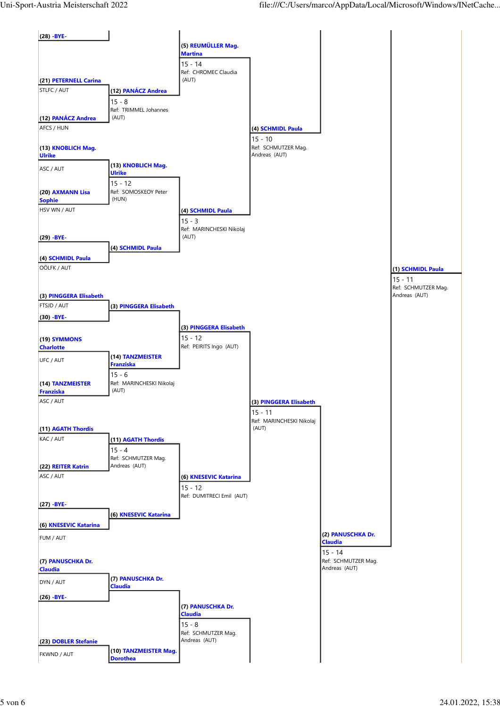